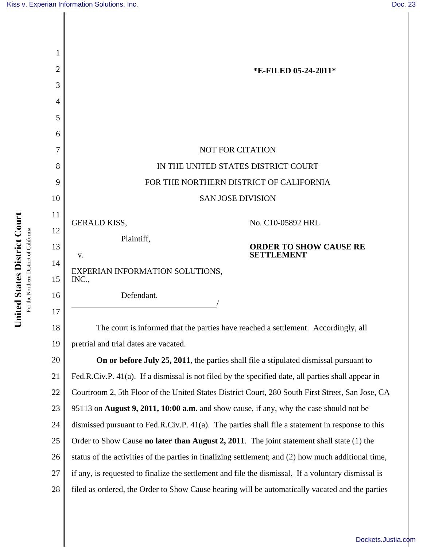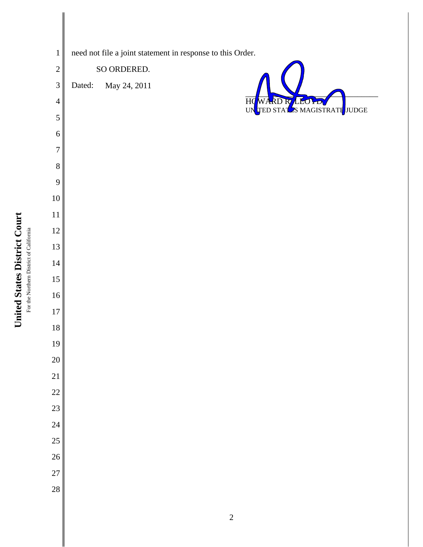